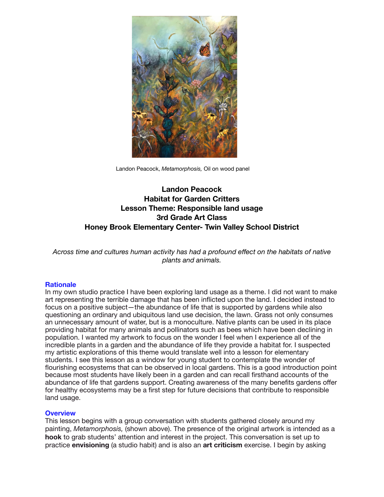

Landon Peacock, *Metamorphosis,* Oil on wood panel

# **Landon Peacock Habitat for Garden Critters Lesson Theme: Responsible land usage 3rd Grade Art Class Honey Brook Elementary Center- Twin Valley School District**

*Across time and cultures human activity has had a profound effect on the habitats of native plants and animals.* 

#### **Rationale**

In my own studio practice I have been exploring land usage as a theme. I did not want to make art representing the terrible damage that has been inflicted upon the land. I decided instead to focus on a positive subject—the abundance of life that is supported by gardens while also questioning an ordinary and ubiquitous land use decision, the lawn. Grass not only consumes an unnecessary amount of water, but is a monoculture. Native plants can be used in its place providing habitat for many animals and pollinators such as bees which have been declining in population. I wanted my artwork to focus on the wonder I feel when I experience all of the incredible plants in a garden and the abundance of life they provide a habitat for. I suspected my artistic explorations of this theme would translate well into a lesson for elementary students. I see this lesson as a window for young student to contemplate the wonder of flourishing ecosystems that can be observed in local gardens. This is a good introduction point because most students have likely been in a garden and can recall firsthand accounts of the abundance of life that gardens support. Creating awareness of the many benefits gardens offer for healthy ecosystems may be a first step for future decisions that contribute to responsible land usage.

#### **Overview**

This lesson begins with a group conversation with students gathered closely around my painting, *Metamorphosis,* (shown above). The presence of the original artwork is intended as a **hook** to grab students' attention and interest in the project. This conversation is set up to practice **envisioning** (a studio habit) and is also an **art criticism** exercise. I begin by asking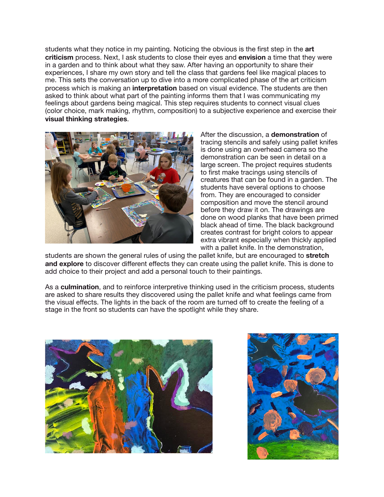students what they notice in my painting. Noticing the obvious is the first step in the **art criticism** process. Next, I ask students to close their eyes and **envision** a time that they were in a garden and to think about what they saw. After having an opportunity to share their experiences, I share my own story and tell the class that gardens feel like magical places to me. This sets the conversation up to dive into a more complicated phase of the art criticism process which is making an **interpretation** based on visual evidence. The students are then asked to think about what part of the painting informs them that I was communicating my feelings about gardens being magical. This step requires students to connect visual clues (color choice, mark making, rhythm, composition) to a subjective experience and exercise their **visual thinking strategies**.



After the discussion, a **demonstration** of tracing stencils and safely using pallet knifes is done using an overhead camera so the demonstration can be seen in detail on a large screen. The project requires students to first make tracings using stencils of creatures that can be found in a garden. The students have several options to choose from. They are encouraged to consider composition and move the stencil around before they draw it on. The drawings are done on wood planks that have been primed black ahead of time. The black background creates contrast for bright colors to appear extra vibrant especially when thickly applied with a pallet knife. In the demonstration,

students are shown the general rules of using the pallet knife, but are encouraged to **stretch and explore** to discover different effects they can create using the pallet knife. This is done to add choice to their project and add a personal touch to their paintings.

As a **culmination**, and to reinforce interpretive thinking used in the criticism process, students are asked to share results they discovered using the pallet knife and what feelings came from the visual effects. The lights in the back of the room are turned off to create the feeling of a stage in the front so students can have the spotlight while they share.